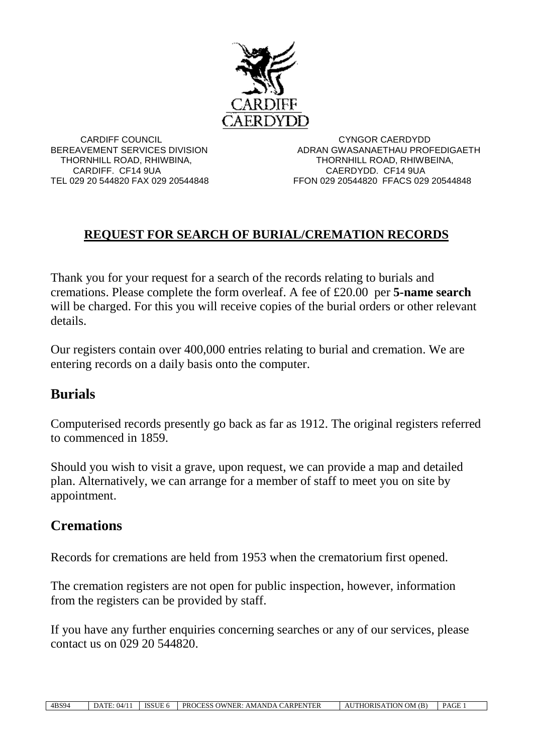

 CARDIFF COUNCIL CYNGOR CAERDYDD BEREAVEMENT SERVICES DIVISION ADRAN GWASANAETHAU PROFEDIGAETH THORNHILL ROAD, RHIWBINA, THORNHILL ROAD, RHIWBEINA, CARDIFF. CF14 9UA CAERDYDD. CF14 9UA TEL 029 20 544820 FAX 029 20544848 FFON 029 20544820 FFACS 029 20544848

## **REQUEST FOR SEARCH OF BURIAL/CREMATION RECORDS**

Thank you for your request for a search of the records relating to burials and cremations. Please complete the form overleaf. A fee of £20.00 per **5-name search** will be charged. For this you will receive copies of the burial orders or other relevant details.

Our registers contain over 400,000 entries relating to burial and cremation. We are entering records on a daily basis onto the computer.

## **Burials**

Computerised records presently go back as far as 1912. The original registers referred to commenced in 1859.

Should you wish to visit a grave, upon request, we can provide a map and detailed plan. Alternatively, we can arrange for a member of staff to meet you on site by appointment.

## **Cremations**

Records for cremations are held from 1953 when the crematorium first opened.

The cremation registers are not open for public inspection, however, information from the registers can be provided by staff.

If you have any further enquiries concerning searches or any of our services, please contact us on 029 20 544820.